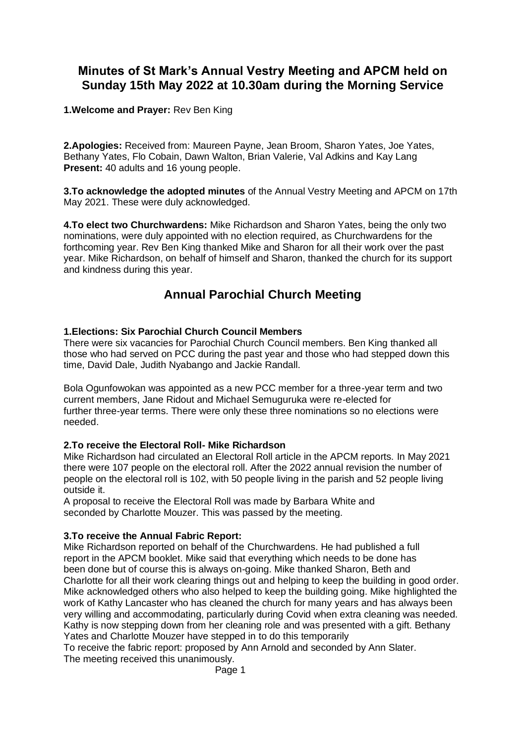# **Minutes of St Mark's Annual Vestry Meeting and APCM held on Sunday 15th May 2022 at 10.30am during the Morning Service**

**1.Welcome and Prayer:** Rev Ben King

**2.Apologies:** Received from: Maureen Payne, Jean Broom, Sharon Yates, Joe Yates, Bethany Yates, Flo Cobain, Dawn Walton, Brian Valerie, Val Adkins and Kay Lang **Present:** 40 adults and 16 young people.

**3.To acknowledge the adopted minutes** of the Annual Vestry Meeting and APCM on 17th May 2021. These were duly acknowledged.

**4.To elect two Churchwardens:** Mike Richardson and Sharon Yates, being the only two nominations, were duly appointed with no election required, as Churchwardens for the forthcoming year. Rev Ben King thanked Mike and Sharon for all their work over the past year. Mike Richardson, on behalf of himself and Sharon, thanked the church for its support and kindness during this year.

# **Annual Parochial Church Meeting**

### **1.Elections: Six Parochial Church Council Members**

There were six vacancies for Parochial Church Council members. Ben King thanked all those who had served on PCC during the past year and those who had stepped down this time, David Dale, Judith Nyabango and Jackie Randall.

Bola Ogunfowokan was appointed as a new PCC member for a three-year term and two current members, Jane Ridout and Michael Semuguruka were re-elected for further three-year terms. There were only these three nominations so no elections were needed.

#### **2.To receive the Electoral Roll- Mike Richardson**

Mike Richardson had circulated an Electoral Roll article in the APCM reports. In May 2021 there were 107 people on the electoral roll. After the 2022 annual revision the number of people on the electoral roll is 102, with 50 people living in the parish and 52 people living outside it.

A proposal to receive the Electoral Roll was made by Barbara White and seconded by Charlotte Mouzer. This was passed by the meeting.

## **3.To receive the Annual Fabric Report:**

Mike Richardson reported on behalf of the Churchwardens. He had published a full report in the APCM booklet. Mike said that everything which needs to be done has been done but of course this is always on-going. Mike thanked Sharon, Beth and Charlotte for all their work clearing things out and helping to keep the building in good order. Mike acknowledged others who also helped to keep the building going. Mike highlighted the work of Kathy Lancaster who has cleaned the church for many years and has always been very willing and accommodating, particularly during Covid when extra cleaning was needed. Kathy is now stepping down from her cleaning role and was presented with a gift. Bethany Yates and Charlotte Mouzer have stepped in to do this temporarily

To receive the fabric report: proposed by Ann Arnold and seconded by Ann Slater.

The meeting received this unanimously.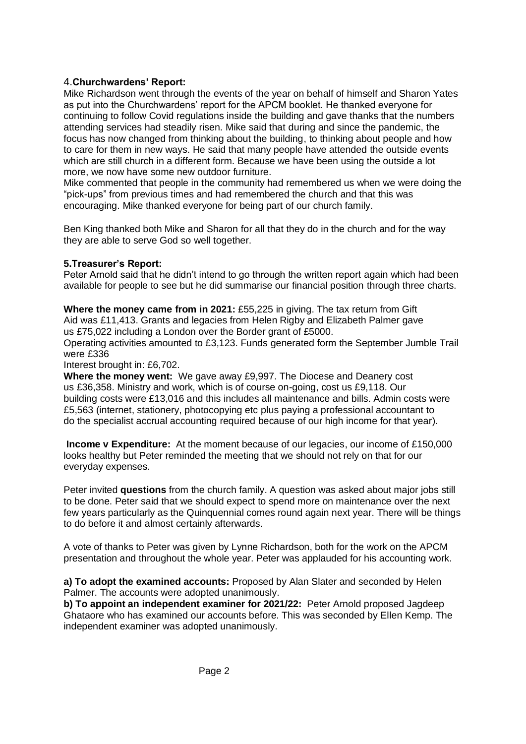## 4.**Churchwardens' Report:**

Mike Richardson went through the events of the year on behalf of himself and Sharon Yates as put into the Churchwardens' report for the APCM booklet. He thanked everyone for continuing to follow Covid regulations inside the building and gave thanks that the numbers attending services had steadily risen. Mike said that during and since the pandemic, the focus has now changed from thinking about the building, to thinking about people and how to care for them in new ways. He said that many people have attended the outside events which are still church in a different form. Because we have been using the outside a lot more, we now have some new outdoor furniture.

Mike commented that people in the community had remembered us when we were doing the "pick-ups" from previous times and had remembered the church and that this was encouraging. Mike thanked everyone for being part of our church family.

Ben King thanked both Mike and Sharon for all that they do in the church and for the way they are able to serve God so well together.

### **5.Treasurer's Report:**

Peter Arnold said that he didn't intend to go through the written report again which had been available for people to see but he did summarise our financial position through three charts.

**Where the money came from in 2021:** £55,225 in giving. The tax return from Gift Aid was £11,413. Grants and legacies from Helen Rigby and Elizabeth Palmer gave us £75,022 including a London over the Border grant of £5000.

Operating activities amounted to £3,123. Funds generated form the September Jumble Trail were £336

Interest brought in: £6,702.

**Where the money went:** We gave away £9,997. The Diocese and Deanery cost us £36,358. Ministry and work, which is of course on-going, cost us £9,118. Our building costs were £13,016 and this includes all maintenance and bills. Admin costs were £5,563 (internet, stationery, photocopying etc plus paying a professional accountant to do the specialist accrual accounting required because of our high income for that year).

**Income v Expenditure:** At the moment because of our legacies, our income of £150,000 looks healthy but Peter reminded the meeting that we should not rely on that for our everyday expenses.

Peter invited **questions** from the church family. A question was asked about major jobs still to be done. Peter said that we should expect to spend more on maintenance over the next few years particularly as the Quinquennial comes round again next year. There will be things to do before it and almost certainly afterwards.

A vote of thanks to Peter was given by Lynne Richardson, both for the work on the APCM presentation and throughout the whole year. Peter was applauded for his accounting work.

**a) To adopt the examined accounts:** Proposed by Alan Slater and seconded by Helen Palmer. The accounts were adopted unanimously.

**b) To appoint an independent examiner for 2021/22:** Peter Arnold proposed Jagdeep Ghataore who has examined our accounts before. This was seconded by Ellen Kemp. The independent examiner was adopted unanimously.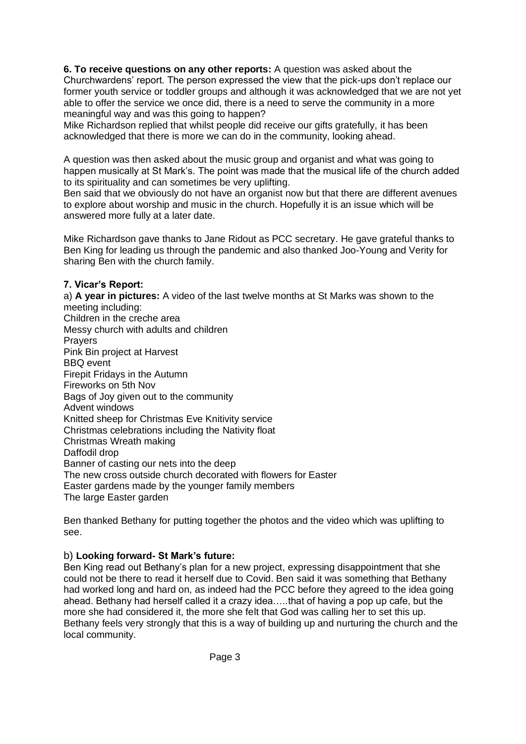**6. To receive questions on any other reports:** A question was asked about the Churchwardens' report. The person expressed the view that the pick-ups don't replace our former youth service or toddler groups and although it was acknowledged that we are not yet able to offer the service we once did, there is a need to serve the community in a more meaningful way and was this going to happen?

Mike Richardson replied that whilst people did receive our gifts gratefully, it has been acknowledged that there is more we can do in the community, looking ahead.

A question was then asked about the music group and organist and what was going to happen musically at St Mark's. The point was made that the musical life of the church added to its spirituality and can sometimes be very uplifting.

Ben said that we obviously do not have an organist now but that there are different avenues to explore about worship and music in the church. Hopefully it is an issue which will be answered more fully at a later date.

Mike Richardson gave thanks to Jane Ridout as PCC secretary. He gave grateful thanks to Ben King for leading us through the pandemic and also thanked Joo-Young and Verity for sharing Ben with the church family.

### **7. Vicar's Report:**

a) **A year in pictures:** A video of the last twelve months at St Marks was shown to the meeting including: Children in the creche area Messy church with adults and children Prayers Pink Bin project at Harvest BBQ event Firepit Fridays in the Autumn Fireworks on 5th Nov Bags of Joy given out to the community Advent windows Knitted sheep for Christmas Eve Knitivity service Christmas celebrations including the Nativity float Christmas Wreath making Daffodil drop Banner of casting our nets into the deep The new cross outside church decorated with flowers for Easter Easter gardens made by the younger family members The large Easter garden

Ben thanked Bethany for putting together the photos and the video which was uplifting to see.

## b) **Looking forward- St Mark's future:**

Ben King read out Bethany's plan for a new project, expressing disappointment that she could not be there to read it herself due to Covid. Ben said it was something that Bethany had worked long and hard on, as indeed had the PCC before they agreed to the idea going ahead. Bethany had herself called it a crazy idea…..that of having a pop up cafe, but the more she had considered it, the more she felt that God was calling her to set this up. Bethany feels very strongly that this is a way of building up and nurturing the church and the local community.